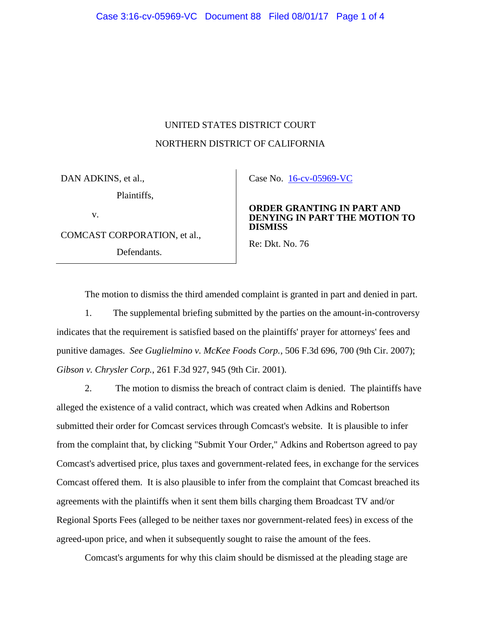# UNITED STATES DISTRICT COURT NORTHERN DISTRICT OF CALIFORNIA

DAN ADKINS, et al., Plaintiffs, v. COMCAST CORPORATION, et al.,

Defendants.

Case No. [16-cv-05969-VC](https://ecf.cand.uscourts.gov/cgi-bin/DktRpt.pl?304161) 

# **ORDER GRANTING IN PART AND DENYING IN PART THE MOTION TO DISMISS**

Re: Dkt. No. 76

The motion to dismiss the third amended complaint is granted in part and denied in part.

1. The supplemental briefing submitted by the parties on the amount-in-controversy indicates that the requirement is satisfied based on the plaintiffs' prayer for attorneys' fees and punitive damages. *See Guglielmino v. McKee Foods Corp.*, 506 F.3d 696, 700 (9th Cir. 2007); *Gibson v. Chrysler Corp.*, 261 F.3d 927, 945 (9th Cir. 2001).

2. The motion to dismiss the breach of contract claim is denied. The plaintiffs have alleged the existence of a valid contract, which was created when Adkins and Robertson submitted their order for Comcast services through Comcast's website. It is plausible to infer from the complaint that, by clicking "Submit Your Order," Adkins and Robertson agreed to pay Comcast's advertised price, plus taxes and government-related fees, in exchange for the services Comcast offered them. It is also plausible to infer from the complaint that Comcast breached its agreements with the plaintiffs when it sent them bills charging them Broadcast TV and/or Regional Sports Fees (alleged to be neither taxes nor government-related fees) in excess of the agreed-upon price, and when it subsequently sought to raise the amount of the fees.

Comcast's arguments for why this claim should be dismissed at the pleading stage are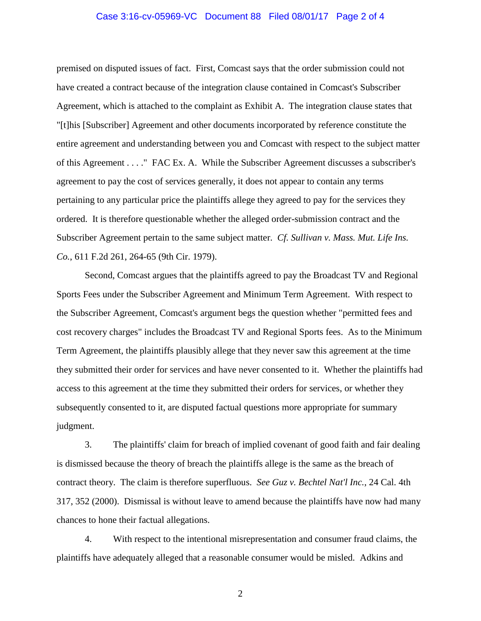## Case 3:16-cv-05969-VC Document 88 Filed 08/01/17 Page 2 of 4

premised on disputed issues of fact. First, Comcast says that the order submission could not have created a contract because of the integration clause contained in Comcast's Subscriber Agreement, which is attached to the complaint as Exhibit A. The integration clause states that "[t]his [Subscriber] Agreement and other documents incorporated by reference constitute the entire agreement and understanding between you and Comcast with respect to the subject matter of this Agreement . . . ." FAC Ex. A. While the Subscriber Agreement discusses a subscriber's agreement to pay the cost of services generally, it does not appear to contain any terms pertaining to any particular price the plaintiffs allege they agreed to pay for the services they ordered. It is therefore questionable whether the alleged order-submission contract and the Subscriber Agreement pertain to the same subject matter. *Cf. Sullivan v. Mass. Mut. Life Ins. Co.*, 611 F.2d 261, 264-65 (9th Cir. 1979).

Second, Comcast argues that the plaintiffs agreed to pay the Broadcast TV and Regional Sports Fees under the Subscriber Agreement and Minimum Term Agreement. With respect to the Subscriber Agreement, Comcast's argument begs the question whether "permitted fees and cost recovery charges" includes the Broadcast TV and Regional Sports fees. As to the Minimum Term Agreement, the plaintiffs plausibly allege that they never saw this agreement at the time they submitted their order for services and have never consented to it. Whether the plaintiffs had access to this agreement at the time they submitted their orders for services, or whether they subsequently consented to it, are disputed factual questions more appropriate for summary judgment.

3. The plaintiffs' claim for breach of implied covenant of good faith and fair dealing is dismissed because the theory of breach the plaintiffs allege is the same as the breach of contract theory. The claim is therefore superfluous. *See Guz v. Bechtel Nat'l Inc.*, 24 Cal. 4th 317, 352 (2000). Dismissal is without leave to amend because the plaintiffs have now had many chances to hone their factual allegations.

4. With respect to the intentional misrepresentation and consumer fraud claims, the plaintiffs have adequately alleged that a reasonable consumer would be misled. Adkins and

2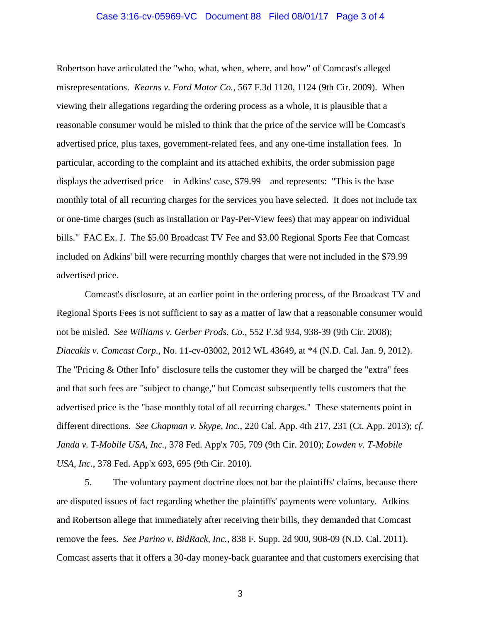## Case 3:16-cv-05969-VC Document 88 Filed 08/01/17 Page 3 of 4

Robertson have articulated the "who, what, when, where, and how" of Comcast's alleged misrepresentations. *Kearns v. Ford Motor Co.*, 567 F.3d 1120, 1124 (9th Cir. 2009). When viewing their allegations regarding the ordering process as a whole, it is plausible that a reasonable consumer would be misled to think that the price of the service will be Comcast's advertised price, plus taxes, government-related fees, and any one-time installation fees. In particular, according to the complaint and its attached exhibits, the order submission page displays the advertised price – in Adkins' case, \$79.99 – and represents: "This is the base monthly total of all recurring charges for the services you have selected. It does not include tax or one-time charges (such as installation or Pay-Per-View fees) that may appear on individual bills." FAC Ex. J. The \$5.00 Broadcast TV Fee and \$3.00 Regional Sports Fee that Comcast included on Adkins' bill were recurring monthly charges that were not included in the \$79.99 advertised price.

Comcast's disclosure, at an earlier point in the ordering process, of the Broadcast TV and Regional Sports Fees is not sufficient to say as a matter of law that a reasonable consumer would not be misled. *See Williams v. Gerber Prods. Co.*, 552 F.3d 934, 938-39 (9th Cir. 2008); *Diacakis v. Comcast Corp.*, No. 11-cv-03002, 2012 WL 43649, at \*4 (N.D. Cal. Jan. 9, 2012). The "Pricing & Other Info" disclosure tells the customer they will be charged the "extra" fees and that such fees are "subject to change," but Comcast subsequently tells customers that the advertised price is the "base monthly total of all recurring charges." These statements point in different directions. *See Chapman v. Skype, Inc.*, 220 Cal. App. 4th 217, 231 (Ct. App. 2013); *cf. Janda v. T-Mobile USA, Inc.*, 378 Fed. App'x 705, 709 (9th Cir. 2010); *Lowden v. T-Mobile USA, Inc.*, 378 Fed. App'x 693, 695 (9th Cir. 2010).

5. The voluntary payment doctrine does not bar the plaintiffs' claims, because there are disputed issues of fact regarding whether the plaintiffs' payments were voluntary. Adkins and Robertson allege that immediately after receiving their bills, they demanded that Comcast remove the fees. *See Parino v. BidRack, Inc.*, 838 F. Supp. 2d 900, 908-09 (N.D. Cal. 2011). Comcast asserts that it offers a 30-day money-back guarantee and that customers exercising that

3